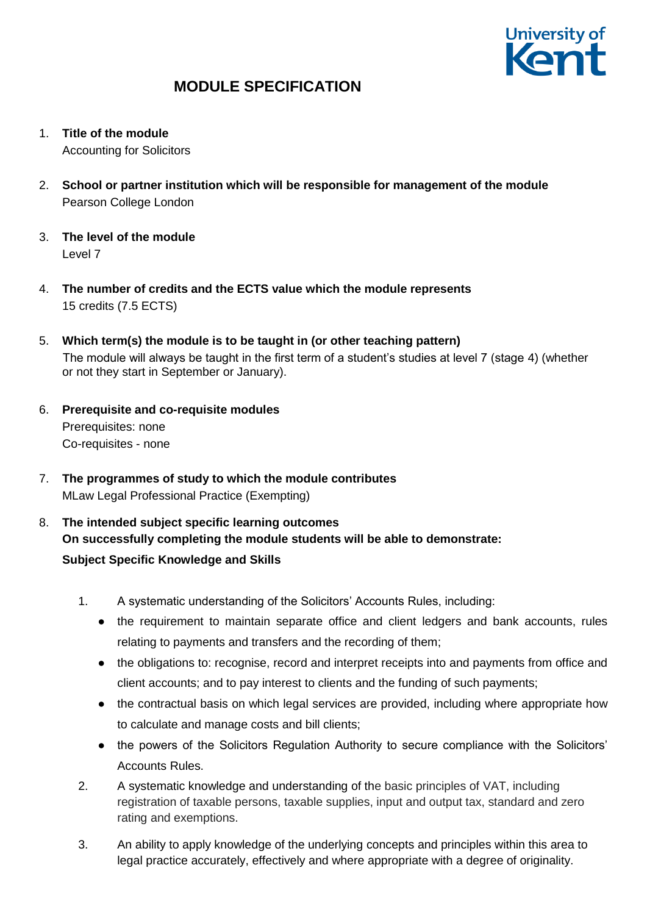

- 1. **Title of the module** Accounting for Solicitors
- 2. **School or partner institution which will be responsible for management of the module** Pearson College London
- 3. **The level of the module**  Level 7
- 4. **The number of credits and the ECTS value which the module represents**  15 credits (7.5 ECTS)
- 5. **Which term(s) the module is to be taught in (or other teaching pattern)** The module will always be taught in the first term of a student's studies at level 7 (stage 4) (whether or not they start in September or January).
- 6. **Prerequisite and co-requisite modules** Prerequisites: none Co-requisites - none
- 7. **The programmes of study to which the module contributes** MLaw Legal Professional Practice (Exempting)
- 8. **The intended subject specific learning outcomes On successfully completing the module students will be able to demonstrate: Subject Specific Knowledge and Skills**
	- 1. A systematic understanding of the Solicitors' Accounts Rules, including:
		- the requirement to maintain separate office and client ledgers and bank accounts, rules relating to payments and transfers and the recording of them;
		- the obligations to: recognise, record and interpret receipts into and payments from office and client accounts; and to pay interest to clients and the funding of such payments;
		- the contractual basis on which legal services are provided, including where appropriate how to calculate and manage costs and bill clients;
		- the powers of the Solicitors Regulation Authority to secure compliance with the Solicitors' Accounts Rules.
	- 2. A systematic knowledge and understanding of the basic principles of VAT, including registration of taxable persons, taxable supplies, input and output tax, standard and zero rating and exemptions.
	- 3. An ability to apply knowledge of the underlying concepts and principles within this area to legal practice accurately, effectively and where appropriate with a degree of originality.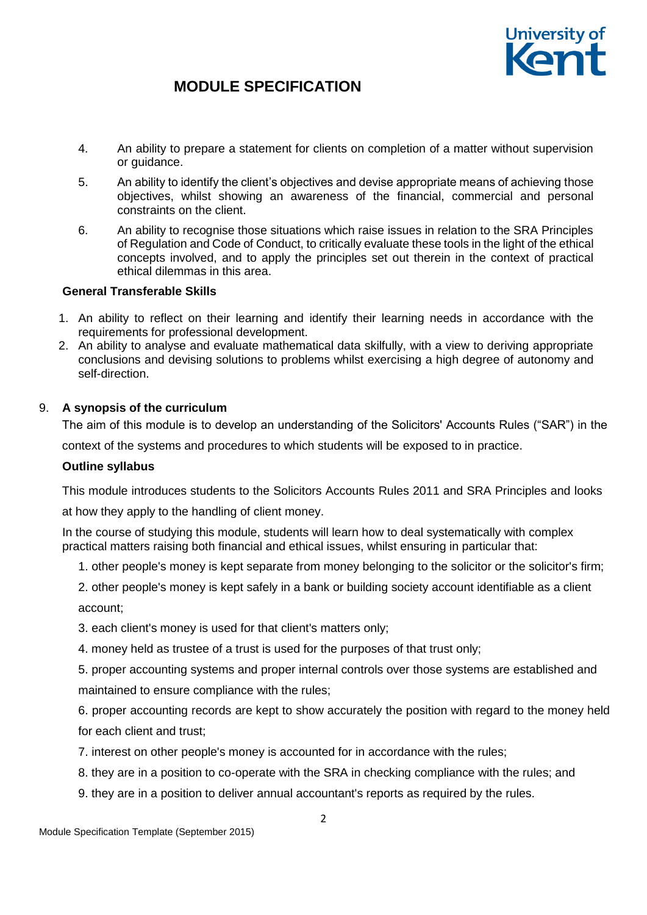

- 4. An ability to prepare a statement for clients on completion of a matter without supervision or quidance.
- 5. An ability to identify the client's objectives and devise appropriate means of achieving those objectives, whilst showing an awareness of the financial, commercial and personal constraints on the client.
- 6. An ability to recognise those situations which raise issues in relation to the SRA Principles of Regulation and Code of Conduct, to critically evaluate these tools in the light of the ethical concepts involved, and to apply the principles set out therein in the context of practical ethical dilemmas in this area.

### **General Transferable Skills**

- 1. An ability to reflect on their learning and identify their learning needs in accordance with the requirements for professional development.
- 2. An ability to analyse and evaluate mathematical data skilfully, with a view to deriving appropriate conclusions and devising solutions to problems whilst exercising a high degree of autonomy and self-direction.

#### 9. **A synopsis of the curriculum**

The aim of this module is to develop an understanding of the Solicitors' Accounts Rules ("SAR") in the

context of the systems and procedures to which students will be exposed to in practice.

#### **Outline syllabus**

This module introduces students to the Solicitors Accounts Rules 2011 and SRA Principles and looks

at how they apply to the handling of client money.

In the course of studying this module, students will learn how to deal systematically with complex practical matters raising both financial and ethical issues, whilst ensuring in particular that:

1. other people's money is kept separate from money belonging to the solicitor or the solicitor's firm;

2. other people's money is kept safely in a bank or building society account identifiable as a client account;

3. each client's money is used for that client's matters only;

4. money held as trustee of a trust is used for the purposes of that trust only;

5. proper accounting systems and proper internal controls over those systems are established and maintained to ensure compliance with the rules;

6. proper accounting records are kept to show accurately the position with regard to the money held for each client and trust;

- 7. interest on other people's money is accounted for in accordance with the rules;
- 8. they are in a position to co-operate with the SRA in checking compliance with the rules; and
- 9. they are in a position to deliver annual accountant's reports as required by the rules.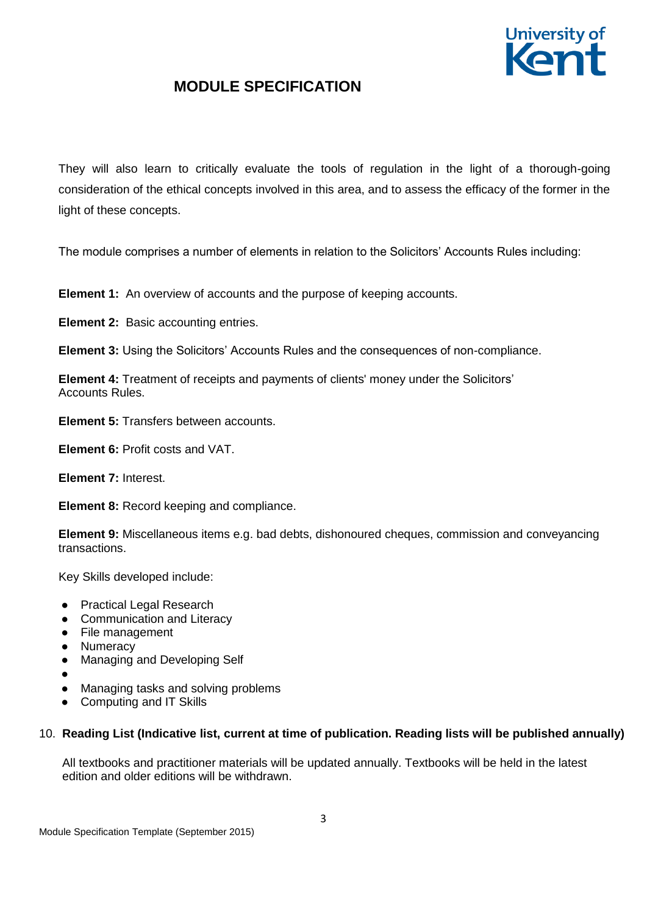

They will also learn to critically evaluate the tools of regulation in the light of a thorough-going consideration of the ethical concepts involved in this area, and to assess the efficacy of the former in the light of these concepts.

The module comprises a number of elements in relation to the Solicitors' Accounts Rules including:

**Element 1:** An overview of accounts and the purpose of keeping accounts.

**Element 2:** Basic accounting entries.

**Element 3:** Using the Solicitors' Accounts Rules and the consequences of non-compliance.

**Element 4:** Treatment of receipts and payments of clients' money under the Solicitors' Accounts Rules.

**Element 5:** Transfers between accounts.

**Element 6:** Profit costs and VAT.

**Element 7:** Interest.

**Element 8:** Record keeping and compliance.

**Element 9:** Miscellaneous items e.g. bad debts, dishonoured cheques, commission and conveyancing transactions.

Key Skills developed include:

- Practical Legal Research
- Communication and Literacy
- File management
- Numeracy
- Managing and Developing Self
- ●
- Managing tasks and solving problems
- Computing and IT Skills

## 10. **Reading List (Indicative list, current at time of publication. Reading lists will be published annually)**

All textbooks and practitioner materials will be updated annually. Textbooks will be held in the latest edition and older editions will be withdrawn.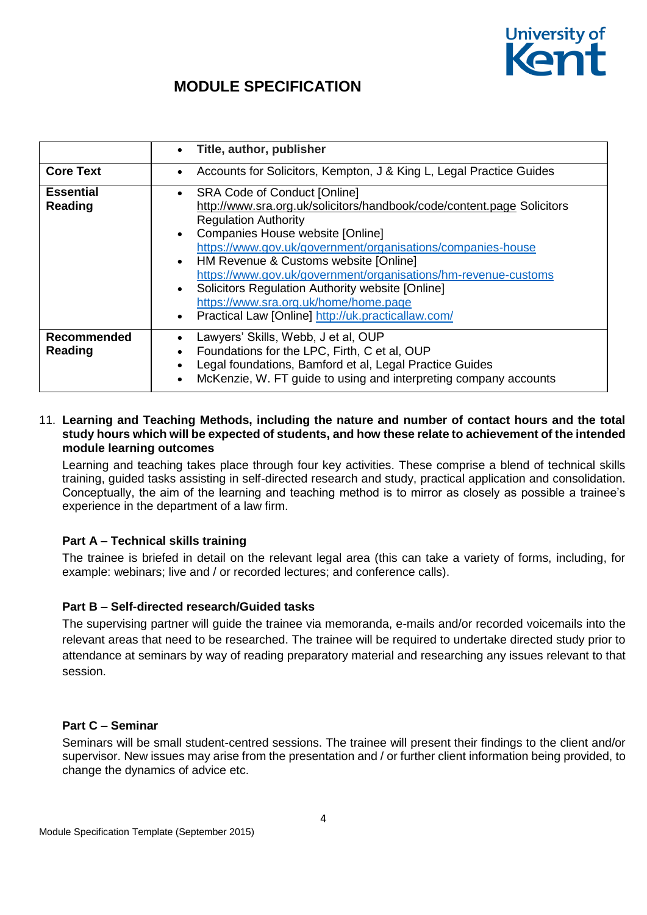

|                             | Title, author, publisher<br>$\bullet$                                                                                                                                                                                                                                                                                                                                                                                                                                                                                                                                          |
|-----------------------------|--------------------------------------------------------------------------------------------------------------------------------------------------------------------------------------------------------------------------------------------------------------------------------------------------------------------------------------------------------------------------------------------------------------------------------------------------------------------------------------------------------------------------------------------------------------------------------|
| <b>Core Text</b>            | Accounts for Solicitors, Kempton, J & King L, Legal Practice Guides<br>$\bullet$                                                                                                                                                                                                                                                                                                                                                                                                                                                                                               |
| <b>Essential</b><br>Reading | <b>SRA Code of Conduct [Online]</b><br>$\bullet$<br>http://www.sra.org.uk/solicitors/handbook/code/content.page Solicitors<br><b>Regulation Authority</b><br>Companies House website [Online]<br>$\bullet$<br>https://www.gov.uk/government/organisations/companies-house<br>HM Revenue & Customs website [Online]<br>$\bullet$<br>https://www.gov.uk/government/organisations/hm-revenue-customs<br>Solicitors Regulation Authority website [Online]<br>$\bullet$<br>https://www.sra.org.uk/home/home.page<br>Practical Law [Online] http://uk.practicallaw.com/<br>$\bullet$ |
| Recommended<br>Reading      | Lawyers' Skills, Webb, J et al, OUP<br>Foundations for the LPC, Firth, C et al, OUP<br>Legal foundations, Bamford et al, Legal Practice Guides<br>$\bullet$<br>McKenzie, W. FT guide to using and interpreting company accounts                                                                                                                                                                                                                                                                                                                                                |

#### 11. **Learning and Teaching Methods, including the nature and number of contact hours and the total study hours which will be expected of students, and how these relate to achievement of the intended module learning outcomes**

Learning and teaching takes place through four key activities. These comprise a blend of technical skills training, guided tasks assisting in self-directed research and study, practical application and consolidation. Conceptually, the aim of the learning and teaching method is to mirror as closely as possible a trainee's experience in the department of a law firm.

## **Part A – Technical skills training**

The trainee is briefed in detail on the relevant legal area (this can take a variety of forms, including, for example: webinars; live and / or recorded lectures; and conference calls).

### **Part B – Self-directed research/Guided tasks**

The supervising partner will guide the trainee via memoranda, e-mails and/or recorded voicemails into the relevant areas that need to be researched. The trainee will be required to undertake directed study prior to attendance at seminars by way of reading preparatory material and researching any issues relevant to that session.

### **Part C – Seminar**

Seminars will be small student-centred sessions. The trainee will present their findings to the client and/or supervisor. New issues may arise from the presentation and / or further client information being provided, to change the dynamics of advice etc.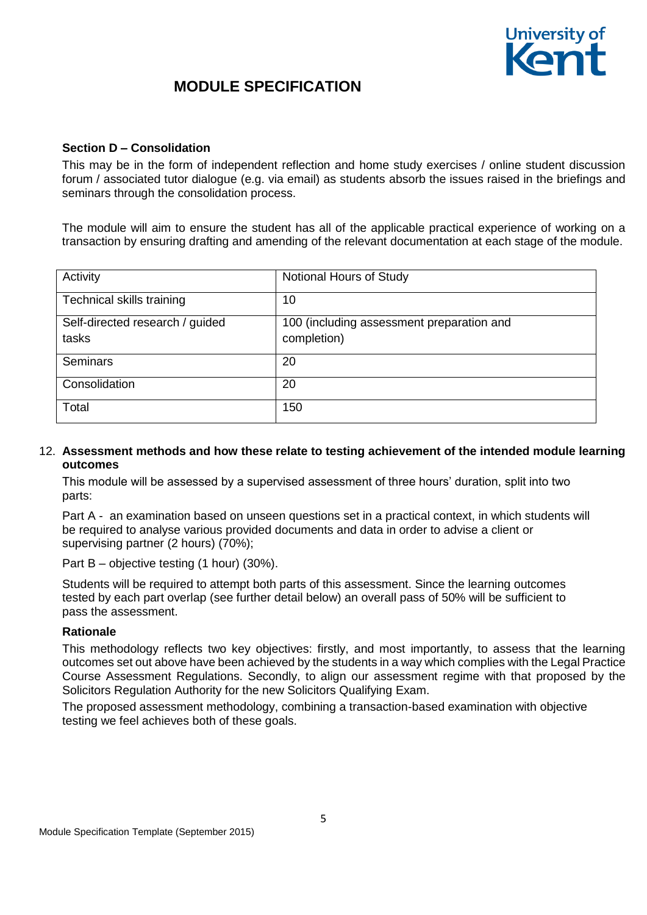

#### **Section D – Consolidation**

This may be in the form of independent reflection and home study exercises / online student discussion forum / associated tutor dialogue (e.g. via email) as students absorb the issues raised in the briefings and seminars through the consolidation process.

The module will aim to ensure the student has all of the applicable practical experience of working on a transaction by ensuring drafting and amending of the relevant documentation at each stage of the module.

| Activity                        | Notional Hours of Study                   |
|---------------------------------|-------------------------------------------|
| Technical skills training       | 10                                        |
| Self-directed research / guided | 100 (including assessment preparation and |
| tasks                           | completion)                               |
| <b>Seminars</b>                 | 20                                        |
| Consolidation                   | 20                                        |
| Total                           | 150                                       |

#### 12. **Assessment methods and how these relate to testing achievement of the intended module learning outcomes**

This module will be assessed by a supervised assessment of three hours' duration, split into two parts:

Part A - an examination based on unseen questions set in a practical context, in which students will be required to analyse various provided documents and data in order to advise a client or supervising partner (2 hours) (70%);

Part B – objective testing (1 hour) (30%).

Students will be required to attempt both parts of this assessment. Since the learning outcomes tested by each part overlap (see further detail below) an overall pass of 50% will be sufficient to pass the assessment.

#### **Rationale**

This methodology reflects two key objectives: firstly, and most importantly, to assess that the learning outcomes set out above have been achieved by the students in a way which complies with the Legal Practice Course Assessment Regulations. Secondly, to align our assessment regime with that proposed by the Solicitors Regulation Authority for the new Solicitors Qualifying Exam.

The proposed assessment methodology, combining a transaction-based examination with objective testing we feel achieves both of these goals.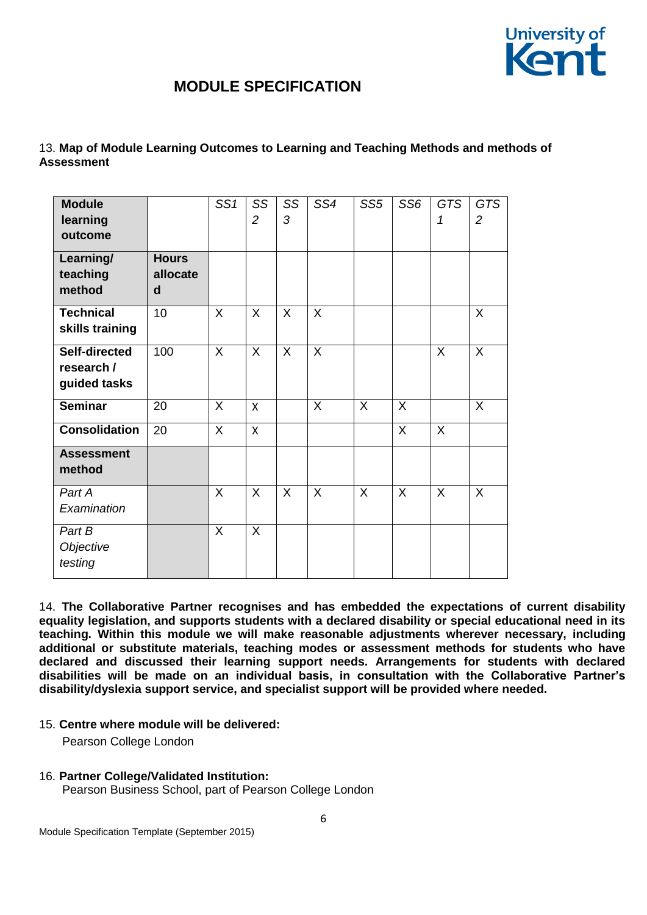

### 13. **Map of Module Learning Outcomes to Learning and Teaching Methods and methods of Assessment**

| <b>Module</b><br>learning<br>outcome<br>Learning/ | <b>Hours</b>  | SS1          | SS<br>$\overline{c}$ | SS<br>3      | SS4          | SS <sub>5</sub> | SS <sub>6</sub> | <b>GTS</b><br>1 | <b>GTS</b><br>$\overline{2}$ |
|---------------------------------------------------|---------------|--------------|----------------------|--------------|--------------|-----------------|-----------------|-----------------|------------------------------|
| teaching<br>method                                | allocate<br>d |              |                      |              |              |                 |                 |                 |                              |
| <b>Technical</b><br>skills training               | 10            | $\mathsf{X}$ | $\mathsf{X}$         | $\mathsf{X}$ | $\mathsf{X}$ |                 |                 |                 | X                            |
| Self-directed<br>research /<br>guided tasks       | 100           | $\mathsf{X}$ | $\mathsf{X}$         | X            | $\mathsf{X}$ |                 |                 | $\mathsf{X}$    | X                            |
| <b>Seminar</b>                                    | 20            | $\mathsf{X}$ | X                    |              | $\mathsf{X}$ | X               | $\sf X$         |                 | X                            |
| <b>Consolidation</b>                              | 20            | $\mathsf{X}$ | $\mathsf{x}$         |              |              |                 | $\sf X$         | $\sf X$         |                              |
| <b>Assessment</b><br>method                       |               |              |                      |              |              |                 |                 |                 |                              |
| Part A<br>Examination                             |               | X            | X                    | X            | X            | X               | $\sf X$         | X               | $\sf X$                      |
| Part B<br>Objective<br>testing                    |               | $\mathsf{X}$ | $\mathsf{X}$         |              |              |                 |                 |                 |                              |

14. **The Collaborative Partner recognises and has embedded the expectations of current disability equality legislation, and supports students with a declared disability or special educational need in its teaching. Within this module we will make reasonable adjustments wherever necessary, including additional or substitute materials, teaching modes or assessment methods for students who have declared and discussed their learning support needs. Arrangements for students with declared disabilities will be made on an individual basis, in consultation with the Collaborative Partner's disability/dyslexia support service, and specialist support will be provided where needed.**

15. **Centre where module will be delivered:**

Pearson College London

16. **Partner College/Validated Institution:** Pearson Business School, part of Pearson College London